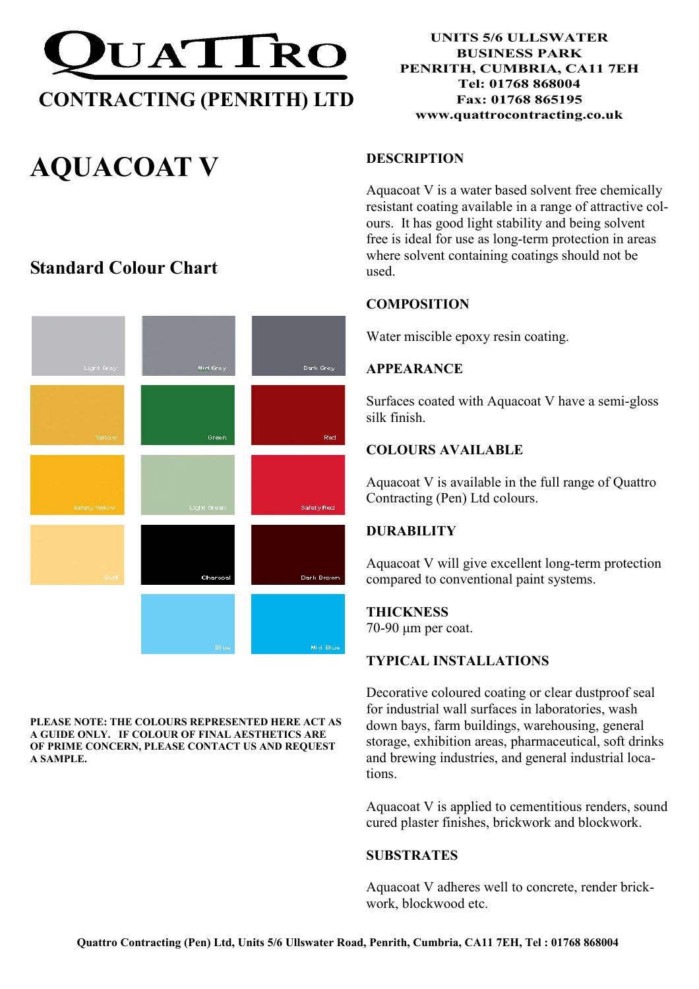

# AQUACOAT V

## Standard Colour Chart



PLEASE NOTE: THE COLOURS REPRESENTED HERE ACT AS A GUIDE ONLY. IF COLOUR OF FINAL AESTHETICS ARE OF PRIME CONCERN, PLEASE CONTACT US AND REQUEST A SAMPLE.

UNITS 5/6 ULLSWATER BUSINESS PARK PENRITH, CUMBRIA, CA11 7EH Tel: 01768 868004 Fax: 01768 865195 www.quattrocontracting.co.uk

### DESCRIPTION

Aquacoat V is a water based solvent free chemically resistant coating available in a range of attractive colours. It has good light stability and being solvent free is ideal for use as long-term protection in areas where solvent containing coatings should not be used.

#### **COMPOSITION**

Water miscible epoxy resin coating.

#### APPEARANCE

Surfaces coated with Aquacoat V have a semi-gloss silk finish.

#### COLOURS AVAILABLE

Aquacoat V is available in the full range of Quattro Contracting (Pen) Ltd colours.

#### **DURABILITY**

Aquacoat V will give excellent long-term protection compared to conventional paint systems.

#### **THICKNESS**

70-90 µm per coat.

#### TYPICAL INSTALLATIONS

Decorative coloured coating or clear dustproof seal for industrial wall surfaces in laboratories, wash down bays, farm buildings, warehousing, general storage, exhibition areas, pharmaceutical, soft drinks and brewing industries, and general industrial locations.

Aquacoat V is applied to cementitious renders, sound cured plaster finishes, brickwork and blockwork.

#### **SUBSTRATES**

Aquacoat V adheres well to concrete, render brickwork, blockwood etc.